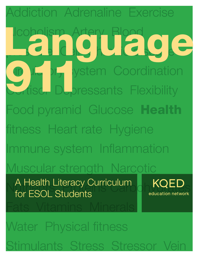ddiction Adrenaline Exercise Alcoholism Artery Blood pressure Cell Chronic disease ystem Coordination **Dressants Flexibility** Food pyramid Glucose Health fitness Heart rate Hygiene Immune system Inflammation Muscular strength Narcotic A Health Literacy Curriculum Rock KOED Fats Vitamins Minerals Water Physical fitness Stimulants Stress Stressor Vein Language Coule Dry ly A Health Literacy Curriculum for ESOL Students

3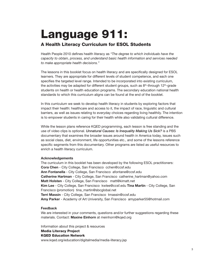# Language 911: A Health Literacy Curriculum for ESOL Students

Health People 2010 defines health literacy as *"The degree to which individuals have the capacity to obtain, process, and understand basic health information and services needed to make appropriate health decisions."*

The lessons in this booklet focus on health literacy and are specifically designed for ESOL learners. They are appropriate for different levels of student competence, and each one specifies the targeted level range. Intended to be incorporated into existing curriculum, the activities may be adapted for different student groups, such as  $8<sup>th</sup>$ -through 12<sup>th</sup>-grade students on health or health education programs. The secondary education national health standards to which this curriculum aligns can be found at the end of the booklet.

In this curriculum we seek to develop health literacy in students by exploring factors that impact their health: healthcare and access to it, the impact of race, linguistic and cultural barriers, as well as issues relating to everyday choices regarding living healthily. The intention is to empower students in caring for their health while also validating cultural difference.

While the lesson plans reference KQED programming, each lesson is free standing and the use of video clips is optional. *Unnatural Causes: Is Inequality Making Us Sick?* is a PBS documentary that examines the broader issues around health in America today, issues such as social class, diet, environment, life opportunities etc., and some of the lessons reference specific segments from this documentary. Other programs are listed as useful resources to enrich a health literacy curriculum.

## **Acknowledgements**

The curriculum in this booklet has been developed by the following ESOL practitioners: **Cora Chen** - City College, San Francisco cchen@ccsf.edu **Ann Fontanella** - City College, San Francisco afontane@ccsf.edu **Catherine Hartman** - City College, San Francisco catherine\_hartman@yahoo.com **Matt Holsten** - City College, San Francisco matt@kimatt.net **Kim Lee** - City College, San Francisco kwlee@ccsf.edu **Tina Martin** - City College, San Francisco (promotion) tina\_martin@sbcglobal.net **Terri Massin** - City College, San Francisco tmassin@ccsf.edu **Amy Parker** - Academy of Art University, San Francisco amyparker55@hotmail.com

## **Feedback**

We are interested in your comments, questions and/or further suggestions regarding these materials. Contact: **Maxine Einhorn** at meinhorn@kqed.org

Information about this project & resources Media Literacy Project KQED Education Network www.kqed.org/education/digitalmedia/media-literacy.jsp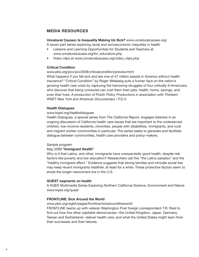## **MEDIA RESOURCES**

## **Unnatural Causes: Is Inequality Making Us Sick?** www.unnaturalcauses.org/

A seven part series exploring racial and socioeconomic inequities in health

- Lessons and Learning Opportunities for Students and Teachers at www.unnaturalcauses.org/for\_educators.php
- Video clips at www.unnaturalcauses.org/video\_clips.php

## **Critical Condition**

www.pbs.org/pov/pov2008/criticalcondition/preview.html

What happens if you fall sick and are one of 47 million people in America without health insurance? "Critical Condition" by Roger Weisberg puts a human face on the nation's growing health care crisis by capturing the harrowing struggles of four critically ill Americans who discover that being uninsured can cost them their jobs, health, home, savings, and even their lives. *A production of Public Policy Productions in association with Thirteen/ WNET New York and American Documentary | P.O.V.*

## **Health Dialogues**

## www.kqed.org/healthdialogues

Health Dialogues, a special series from *The California Report,* engages listeners in an ongoing discussion of California health care issues that are important to the underserved: children, low-income residents, minorities, people with disabilities, immigrants, and rural and migrant worker communities in particular. The series seeks to generate and facilitate dialogue between communities, health care providers and policy-makers.

## *Sample program*

## May 2008 **"Immigrant Health"**

Why is it that Latino, and other, immigrants have unexpectedly good health, despite risk factors like poverty and low education? Researchers call this "the Latino paradox" and the "healthy immigrant effect." Evidence suggests that strong families and intricate social ties may keep recent immigrants healthier, at least for a while. These protective factors seem to erode the longer newcomers live in the U.S.

## **QUEST segments on health**

A KQED Multimedia Series Exploring Northern California Science, Environment and Nature www.kqed.org/quest

## **FRONTLINE: Sick Around the World**

www.pbs.org/wgbh/pages/frontline/sickaroundtheworld/

FRONTLINE teams up with veteran Washington Post foreign correspondent T.R. Reid to find out how five other capitalist democracies—the United Kingdom, Japan, Germany, Taiwan and Switzerland—deliver health care, and what the United States might learn from their successes and their failures.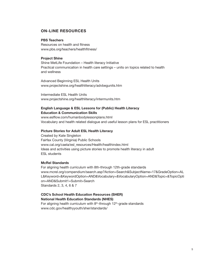## **ON-LINE RESOURCES**

## **PBS Teachers**

Resources on health and fitness www.pbs.org/teachers/healthfitness/

### **Project Shine**

Shine MetLife Foundation – Health literacy Initiative Practical communication in health care settings – units on topics related to health and wellness

Advanced Beginning ESL Health Units www.projectshine.org/healthliteracy/advbegunits.htm

Intermediate ESL Health Units www.projectshine.org/healthliteracy/intermunits.htm

## **English Language & ESL Lessons for (Public) Health Literacy Education & Communication Skills**

www.eslflow.com/humanbodylessonplans.html Vocabulary and health related dialogue and useful lesson plans for ESL practitioners

## **Picture Stories for Adult ESL Health Literacy**

Created by Kate Singleton Fairfax County (Virginia) Public Schools www.cal.org/caela/esl\_resources/Health/healthindex.html Ideas and activities using picture stories to promote health literacy in adult ESL students

## **McRel Standards**

For aligning health curriculum with 8th-through 12th-grade standards www.mcrel.org/compendium/search.asp?Action=Search&SubjectName=17&GradeOption=AL L&Keyword=&KeywordOption=AND&Vocabulary=&VocabularyOption=AND&Topic=&TopicOpti on=AND&Submit1=Submit+Search Standards 2, 3, 4, 6 & 7

## **CDC's School Health Education Resources (SHER) National Health Education Standards (NHES)**

For aligning health curriculum with  $8<sup>th</sup>$ -through 12<sup>th</sup>-grade standards www.cdc.gov/healthyyouth/sher/standards/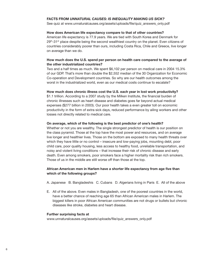## **FACTS from** *Unnatural Causes: Is Inequality Making Us Sick?*

See quiz at www.unnaturalcauses.org/assets/uploads/file/quiz\_answers\_only.pdf

## **How does American life expectancy compare to that of other countries?**

American life expectancy is 77.9 years. We are tied with South Korea and Denmark for  $29<sup>th</sup>$ -31<sup>st</sup> place despite being the second wealthiest country on the planet. Even citizens of countries considerably poorer than ours, including Costa Rica, Chile and Greece, live longer on average than we do.

## **How much does the U.S. spend per person on health care compared to the average of the other industrialized countries?**

Two and a half times as much. We spent \$6,102 per person on medical care in 2004 15.3% of our GDP. That's more than double the \$2,552 median of the 30 Organization for Economic Co-operation and Development countries. So why are our health outcomes among the worst in the industrialized world, even as our medical costs continue to escalate?

## **How much does chronic illness cost the U.S. each year in lost work productivity?**

\$1.1 trillion. According to a 2007 study by the Milken Institute, the financial burden of chronic illnesses such as heart disease and diabetes goes far beyond actual medical expenses (\$277 billion in 2003). Our poor health takes a even greater toll on economic productivity in the form of extra sick days, reduced performance by ailing workers and other losses not directly related to medical care.

## **On average, which of the following is the best predictor of one's health?**

Whether or not you are wealthy. The single strongest predictor of health is our position on the class pyramid. Those at the top have the most power and resources, and on average live longer and healthier lives. Those on the bottom are exposed to many health threats over which they have little or no control – insecure and low-paying jobs, mounting debt, poor child care, poor quality housing, less access to healthy food, unreliable transportation, and noisy and violent living conditions – that increase their risk of chronic disease and early death. Even among smokers, poor smokers face a higher mortality risk than rich smokers. Those of us in the middle are still worse off than those at the top.

## **African American men in Harlem have a shorter life expectancy from age five than which of the following groups?**

A. Japanese B. Bangladeshis C. Cubans D. Algerians living in Paris E. All of the above

E. All of the above. Even males in Bangladesh, one of the poorest countries in the world, have a better chance of reaching age 65 than African American males in Harlem. The biggest killers in poor African American communities are not drugs or bullets but chronic diseases like stroke, diabetes and heart disease.

## **Further surprising facts at**

www.unnaturalcauses.org/assets/uploads/file/quiz\_answers\_only.pdf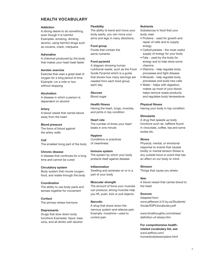## **HEALTH VOCABULARY**

#### **Addiction**

A strong desire to do something, even though it is harmful Examples: smoking, drinking alcohol, using harmful drugs such as cocaine, crack, marijuana

#### **Adrenaline**

A chemical produced by the body that makes your heart beat faster

#### **Aerobic exercise**

Exercise that uses a great deal of oxygen for a long period of time Example: run a mile or two without stopping

#### **Alcoholism**

A disease in which a person is dependent on alcohol

### **Artery**

A blood vessel that carries blood away from the heart

#### **Blood pressure**

The force of blood against the artery walls

**Cell** The smallest living part of the body

#### **Chronic disease**

A disease that continues for a long time and cannot be cured

#### **Circulatory system**

Body system that moves oxygen, food, and waste through the body

#### **Coordination**

The ability to use body parts and senses together for movement

**Cortisol** The primary stress hormone

#### **Depressants**

Drugs that slow down body functions Examples: liquor, beer, wine, and all drinks with alcohol

#### **Flexibility**

The ability to bend and move your body easily; you can move your arms and legs in many directions.

#### **Food group**

Foods that contain the same nutrients

#### **Food pyramid**

A diagram showing human nutritional needs, such as the Food Guide Pyramid which is a guide that shows how many servings are needed from each food group each day

#### **Glucose**

Blood sugar

#### **Health fitness**

Having the heart, lungs, muscles, and joints in top condition

#### **Heart rate**

The number of times your heart beats in one minute

#### **Hygiene**

Conditions or practices of cleanliness

#### **Immune system**

The system by which your body protects itself against disease

#### **Inflammation**

Swelling and soreness on or in a part of your body

#### **Muscular strength**

The amount of force your muscles can produce; strong muscles help you lift, push, kick or pull objects.

#### **Narcotic**

A drug that slows down the nervous system and relieves pain Example: morphine—used to control pain

#### **Nutrients**

Substances in food that your body uses

- Proteins used for growth and repair of cells and to supply energy
- Carbohydrates the most useful supply of energy for your body
- Fats used by the body for energy and to help store some vitamins
- Vitamins help regulate body processes and fight disease
- Minerals help regulate body processes and build new cells
- Water helps with digestion; makes up most of your blood; helps remove waste products; and regulates body temperature

#### **Physical fitness**

Having your body in top condition

#### **Stimulants**

A drug that speeds up body functions such as: caffeine found in chocolate, coffee, tea and some sodas etc.

#### **Stress**

Physical, mental, or emotional response to events that causes bodily or mental tension Stress is any outside force or event that has an effect on our body or mind.

#### **Stressor**

Things that cause you stress

#### **Vein**

A blood vessel that carries blood to the heart

#### **Sources**

Adapted from www.jefferson.k12.ky.us/Students/ Vocab/ESPLVocabulary.pdf

www.timethoughts.com/stress/ definition-of-stress.htm

## **For comprehensive healthrelated vocabulary list, see**

www.eslflow.com/ humanbodylessonplans.html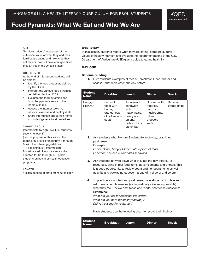## **Food Pyramids: What We Eat and Who We Are**

#### Aim

To raise students' awareness of the nutritional value of what they and their families are eating and how what they eat may or may not have changed since they arrived in the United States.

#### **OBJECTIVES**

At the end of this lesson, students will be able to:

- Identify the food groups as defined by the USDA.
- Interpret the various food pyramids as defined by the USDA.
- Evaluate the food pyramids and how the pyramids relate to their home cultures.
- Access the Internet tools that assist in exercise and healthy diets.
- Share information about their home countries' general food guidelines.

#### **TARGET GROUP**

Intermediate to high-level ESL students (level 4 to level 8)

(For the purpose of this lesson, the target group levels range from 1 through 8, with the following guidelines:

 $1 =$  beginning,  $5 =$  intermediate, 8 = advanced.) Lessons can also be adapted for 8<sup>th</sup>-through 12<sup>th</sup>-grade students on health or health education programs.

LENGTH

4 class periods of 50 to 70 minutes each

### **OVERVIEW**

In this lesson, students record what they are eating, compare cultural values of healthy nutrition and evaluate the recommendations of the U.S. Department of Agriculture (USDA) as a guide to eating healthily.

#### Day One

#### Schema Building

1. Give students examples of meals—breakfast, lunch, dinner and snacks—that were eaten the day before.

| <b>Student</b><br><b>Name</b> | <b>Breakfast</b>                                                            | <b>Lunch</b>                                                                                         | Dinner                                                                             | <b>Snack</b>            |
|-------------------------------|-----------------------------------------------------------------------------|------------------------------------------------------------------------------------------------------|------------------------------------------------------------------------------------|-------------------------|
| Hungry<br>Student             | Piece of<br>toast with<br>butter;<br>orange; cup<br>of coffee with<br>sugar | Tuna salad<br>sandwich<br>with<br>mayonnaise,<br>celery and<br>onions:<br>potato chips;<br>candy bar | Chicken with<br>noodles,<br>carrots.<br>mushrooms,<br>oil and<br>broccoli;<br>soda | Banana:<br>potato chips |

2. Ask students what Hungry Student ate yesterday, practicing past tense.

#### **Example:**

*For breakfast, Hungry Student ate a piece of toast, … For lunch, she had a tuna salad sandwich, …*

- 3. Ask students to write down what they ate the day before. As resources, bring in real food items, advertisements and photos. This is a good opportunity to review count and noncount items as well as units and packaging (a dozen, a bag of, a slice of and so on).
- 4. To practice vocabulary and past tense, have students circulate and ask three other classmates (as linguistically diverse as possible) what they ate. Review past tense and model past tense questions: **Examples:**

*What did you eat for breakfast yesterday? What did you have for lunch yesterday? Did you eat snacks yesterday?*

Have students use the following chart to record their findings.

| <b>Student</b><br><b>Name</b> | <b>Breakfast</b> | Lunch | <b>Dinner</b> | <b>Snack</b> |
|-------------------------------|------------------|-------|---------------|--------------|
|                               |                  |       |               |              |
|                               |                  |       |               |              |
|                               |                  |       |               |              |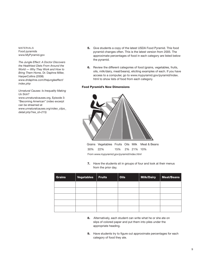MATERIALS Food pyramids www.MyPyramid.gov

*The Jungle Effect: A Doctor Discovers the Healthiest Diets From Around the World — Why They Work and How to Bring Them Home,* Dr. Daphne Miller, HarperCollins (2008) *www.drdaphne.com/thejungleeffect/ index.php*

*Unnatural Causes: Is Inequality Making Us Sick?* www.unnaturalcauses.org, Episode 3: "Becoming American" (video excerpt can be streamed at *www.unnaturalcauses.org/video\_clips\_ detail.php?res\_id=215)*

- 5. Give students a copy of the latest USDA Food Pyramid. This food pyramid changes often. This is the latest version from 2005. The approximate percentages of food in each category are listed below the pyramid.
- 6. Review the different categories of food (grains, vegetables, fruits, oils, milk/dairy, meat/beans), eliciting examples of each. If you have access to a computer, go to www.mypyramid.gov/pyramid/index. html to show lists of food from each category.

#### Food Pyramid's New Dimensions



30% 22% 15% 2% 21% 10% From *www.mypyramid.gov/pyramid/index.html*

7. Have the students sit in groups of four and look at their menus from the prior day.

| <b>Grains</b> | Vegetables   Fruits | <b>Oils</b> | <b>Milk/Dairy</b> | <b>Meat/Beans</b> |
|---------------|---------------------|-------------|-------------------|-------------------|
|               |                     |             |                   |                   |
|               |                     |             |                   |                   |
|               |                     |             |                   |                   |
|               |                     |             |                   |                   |
|               |                     |             |                   |                   |

- 8. Alternatively, each student can write what he or she ate on slips of colored paper and put them into piles under the appropriate heading.
- 9. Have students try to figure out approximate percentages for each category of food they ate.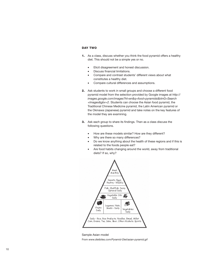## Day Two

- 1. As a class, discuss whether you think the food pyramid offers a healthy diet. This should not be a simple yes or no.
	- Elicit disagreement and honest discussion.
	- Discuss financial limitations.
	- Compare and contrast students' different views about what constitutes a healthy diet.
	- Compare cultural differences and assumptions.
- 2. Ask students to work in small groups and choose a different food pyramid model from the selection provided by Google images at *http:// images.google.com/images?hl=en&q=food+pyramids&btnG=Search +Images&gbv=2*. Students can choose the Asian food pyramid, the Traditional Chinese Medicine pyramid, the Latin American pyramid or the Okinawa (Japanese) pyramid and take notes on the key features of the model they are examining.
- 3. Ask each group to share its findings. Then as a class discuss the following questions.
	- How are these models similar? How are they different?
	- Why are there so many differences?
	- Do we know anything about the health of these regions and if this is related to the foods people eat?
	- Are food habits changing around the world, away from traditional diets? If so, why?



Sample Asian model From *www.dietbites.com/Pyramid-Diet/asian-pyramid.gif*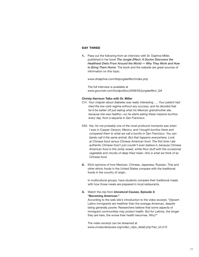## DAY THREE

1. Pass out the following from an interview with Dr. Daphne Miller, published in her book *The Jungle Effect: A Doctor Discovers the Healthiest Diets From Around the World — Why They Work and How to Bring Them Home*. The book and the website are great sources of information on this topic.

*www.drdaphne.com/thejungleeffect/index.php*

The full interview is available at *www.gourmet.com/foodpolitics/2008/05/jungleeffect\_QA*

#### **Christy Harrison Talks with Dr. Miller**

- CH: *Your chapter about diabetes was really interesting …. Your patient had tried the low-carb regime without any success, and he decided that he'd be better off just eating what his Mexican grandmother ate, because she was healthy—so he starts eating these massive burritos every day, from a taqueria in San Francisco.*
- DM: *Yes, for me probably one of the most profound moments was when I was in Copper Canyon, Mexico, and I bought burritos there and compared them to what we call a burrito in San Francisco. You can barely call it the same animal. But that happens everywhere. Look at Chinese food versus Chinese American food. The first time I ate authentic Chinese food I just couldn't even believe it, because Chinese American food is this sickly sweet, white-flour stuff with the occasional vegetable and chunks of deep fried meat—this is what we think of as Chinese food*.
- 2. Elicit opinions of how Mexican, Chinese, Japanese, Russian, Thai and other ethnic foods in the United States compare with the traditional foods in the country of origin.

In multicultural groups, have students compare their traditional meals with how those meals are prepared in local restaurants.

## 3. Watch the clip from *Unnatural Causes***, Episode 3: "Becoming American."**

According to the web site's introduction to the video excerpt, "[r]ecent Latino immigrants are healthier than the average American, despite being generally poorer. Researchers believe that some aspects of immigrant communities may protect health. But for Latinos, the longer they are here, the worse their health becomes. Why?"

The video excerpt can be streamed at *www.unnaturalcauses.org/video\_clips\_detail.php?res\_id=215*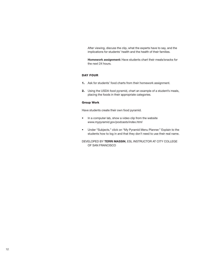After viewing, discuss the clip, what the experts have to say, and the implications for students' health and the health of their families.

**Homework assignment:** Have students chart their meals/snacks for the next 24 hours.

## Day Four

- 1. Ask for students' food charts from their homework assignment.
- 2. Using the USDA food pyramid, chart an example of a student's meals, placing the foods in their appropriate categories.

#### Group Work

Have students create their own food pyramid.

- In a computer lab, show a video clip from the website *www.mypyramid.gov/podcasts/index.html*
- Under "Subjects," click on "My Pyramid Menu Planner." Explain to the students how to log in and that they don't need to use their real name.

Developed by **Terri Massin**, ESL Instructor at City College of San Francisco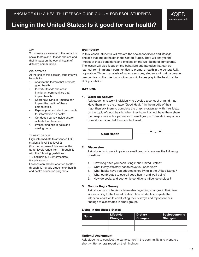## **Living in the United States: Is it good for our health?**

## KQED education network

#### Aim

To increase awareness of the impact of social factors and lifestyle choices and their impact on the overall health of different communities.

#### **OBJECTIVES**

At the end of this session, students will be able to:

- Analyze the factors that promote good health.
- Identify lifestyle choices in immigrant communities that impact health.
- Chart how living in America can impact the health of these communities.
- Explore print and electronic media for information on health.
- Conduct a survey inside and/or outside the classroom.
- Present findings in pairs and small groups.

#### Target Group

High-intermediate to advanced ESL students (level 6 to level 9) (For the purpose of this lesson, the target levels range from 1 through 8, with the following guidelines:  $1 =$  beginning,  $5 =$  intermediate,  $8 =$  advanced.)

Lessons can also be adapted for 8<sup>th</sup>through 12<sup>th</sup>-grade students on health

and health education programs.

#### **OVERVIEW**

In this lesson, students will explore the social conditions and lifestyle choices that impact health in the United States. They will analyze the impact of these conditions and choices on the well-being of immigrants. The lesson will also focus on the behaviors and attitudes that can be learned from immigrant communities to promote health in the general U.S. population. Through analysis of various sources, students will gain a broader perspective on the role that socioeconomic forces play in the health of the U.S. population.

#### DAY ONE

#### 1. Warm-up Activity

Ask students to work individually to develop a concept or mind map. Have them write the phrase "Good Health" in the middle of their map, then ask them to complete the graphic organizer with their ideas on the topic of good health. When they have finished, have them share their responses with a partner or in small groups. Then elicit responses from students and list them on the board.

Good Health (e.g., diet)

#### 2. Discussion

Ask students to work in pairs or small groups to answer the following questions:

- 1. How long have you been living in the United States?
- 2. What lifestyle/dietary habits have you observed?
- 3. What habits have you adopted since living in the United States?
- 4. What contributes to overall good health and well-being?
- 5. How do social and economic conditions influence choices?

#### 3. Conducting a Survey

Ask students to interview classmates regarding changes in their lives since coming to the United States. Have students complete the interview chart while conducting their surveys and report on their findings to classmates in small groups.

#### Living in the United States

| <b>Name</b> | <b>Lifestyle</b><br>Changes | <b>Dietary</b><br><b>Changes</b> | <b>Socioeconomic</b><br><b>Changes</b> |
|-------------|-----------------------------|----------------------------------|----------------------------------------|
|             |                             |                                  |                                        |
|             |                             |                                  |                                        |

#### Optional Assignment

Ask students to conduct the same survey in the community and prepare a short written or oral report on their findings.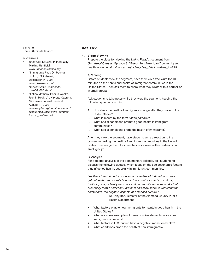**LENGTH** Three 90-minute lessons

#### **MATERIALS**

- *Unnatural Causes:* Is Inequality Making Us Sick? *www.unnaturalcauses.org*
- "Immigrants Pack On Pounds in U.S.," CBS News, December 14, 2004 *www.cbsnews.com/ stories/2004/12/14/health/ main661080.shtml*
- "Latino Mothers: Poor in Wealth, Rich in Health," by Yvette Cabrera, Milwaukee Journal Sentinel, August 11, 2002 *www-tc.pbs.org/unnaturalcauses/ assets/resources/latino\_paradox\_ journal\_sentinel.pdf*

#### Day Two

#### 1. Video Viewing

Prepare the class for viewing the *Latino Paradox* segment from *Unnatural Causes*, *Episode 3*, "**Becoming American**," on immigrant health. *www.unnaturalcauses.org/video\_clips\_detail.php?res\_id=215* 

#### A) Viewing

Before students view the segment, have them do a free-write for 10 minutes on the habits and health of immigrant communities in the United States. Then ask them to share what they wrote with a partner or in small groups.

Ask students to take notes while they view the segment, keeping the following questions in mind.

- 1. How does the health of immigrants change after they move to the United States?
- 2. What is meant by the term *Latino paradox*?
- 3. What social conditions promote good health in immigrant communities?
- 4. What social conditions erode the health of immigrants?

 After they view the segment, have students write a reaction to the content regarding the health of immigrant communities in the United States. Encourage them to share their responses with a partner or in small groups.

#### B) Analysis

For a deeper analysis of the documentary episode, ask students to discuss the following quotes, which focus on the socioeconomic factors that influence health, especially in immigrant communities.

*"As these 'new' Americans become more like 'old' Americans, they get unhealthy. Immigrants bring to this country aspects of culture, of tradition, of tight family networks and community social networks that essentially form a shield around them and allow them to withstand the deleterious, the negative aspects of American culture."* 

- Dr. Tony Iton, Director of the Alameda County Public Health Department
- What factors enable new immigrants to maintain good health in the United States?
- What are some examples of these positive elements in your own immigrant community?
- What factors in U.S. culture have a negative impact on health?
- What conditions erode the health of new immigrants?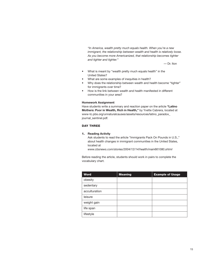*"In America, wealth pretty much equals health. When you're a new immigrant, the relationship between wealth and health is relatively loose. As you become more Americanized, that relationship becomes tighter and tighter and tighter."*

— Dr. Iton

- What is meant by "wealth pretty much equals health" in the United States?
- What are some examples of inequities in health?
- Why does the relationship between wealth and health become "tighter" for immigrants over time?
- How is the link between wealth and health manifested in different communities in your area?

#### **Homework Assignment**

Have students write a summary and reaction paper on the article **"Latino Mothers: Poor in Wealth, Rich in Health,"** by Yvette Cabrera, located at www-tc.pbs.org/unnaturalcauses/assets/resources/latino\_paradox\_ journal\_sentinel.pdf.

## DAY THREE

## 1. **Reading Activity**

Ask students to read the article "Immigrants Pack On Pounds in U.S.," about health changes in immigrant communities in the United States, located at

*www.cbsnews.com/stories/2004/12/14/health/main661080.shtml*

Before reading the article, students should work in pairs to complete the vocabulary chart.

| <b>Word</b>   | <b>Meaning</b> | <b>Example of Usage</b> |
|---------------|----------------|-------------------------|
| obesity       |                |                         |
| sedentary     |                |                         |
| acculturation |                |                         |
| leisure       |                |                         |
| weight gain   |                |                         |
| life span     |                |                         |
| lifestyle     |                |                         |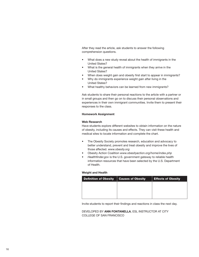After they read the article, ask students to answer the following comprehension questions.

- What does a new study reveal about the health of immigrants in the United States?
- What is the general health of immigrants when they arrive in the United States?
- When does weight gain and obesity first start to appear in immigrants?
- Why do immigrants experience weight gain after living in the United States?
- What healthy behaviors can be learned from new immigrants?

Ask students to share their personal reactions to the article with a partner or in small groups and then go on to discuss their personal observations and experiences in their own immigrant communities. Invite them to present their responses to the class.

#### **Homework Assignment**

#### **Web Research**

Have students explore different websites to obtain information on the nature of obesity, including its causes and effects. They can visit these health and medical sites to locate information and complete the chart.

- The Obesity Society promotes research, education and advocacy to better understand, prevent and treat obesity and improve the lives of those affected. *www.obesity.org*
- Obesity Action Coalition *www.obesityaction.org/home/index.php*
- *Healthfinder.gov* is the U.S. government gateway to reliable health information resources that have been selected by the U.S. Department of Health.

#### **Weight and Health**

| <b>Definition of Obesity</b> | <b>Causes of Obesity</b> | <b>Effects of Obesity</b> |
|------------------------------|--------------------------|---------------------------|
|                              |                          |                           |
|                              |                          |                           |
|                              |                          |                           |

Invite students to report their findings and reactions in class the next day.

Developed by **Ann Fontanella**, ESL Instructor at City COLLEGE OF SAN FRANCISCO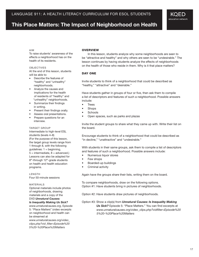## **This Place Matters: The Impact of Neighborhood on Health**

#### Aim

To raise students' awareness of the effects a neighborhood has on the health of its residents.

#### **OBJECTIVES**

At the end of this lesson, students will be able to:

- Describe the features of "healthy" and "unhealthy" neighborhoods.
- Analyze the causes and implications for the health of residents of "healthy" and "unhealthy" neighborhoods.
- Summarize their findings in writing.
- Present their findings orally.
- Assess oral presentations.
- Prepare questions for an interview.

#### TARGET GROUP

Intermediate to high-level ESL students (levels 4–8) (For the purpose of this lesson, the target group levels range from 1 through 8, with the following guidelines:  $1 =$  beginning,  $5 =$  intermediate,  $8 =$  advanced.) Lessons can also be adapted for 8<sup>th</sup>-through 12<sup>th</sup>-grade students on health and health education programs.

**LENGTH** Four 50-minute sessions

#### MATFRIAI<sub>S</sub>

Optional materials include photos of neighborhoods, drawing materials and a copy of the DVD *Unnatural Causes:* 

*Is Inequality Making Us Sick? www.unnaturalcauses.org*, Episode 5: "Place Matters" (video excerpts on neighborhood and health can be streamed at

*www.unnaturalcauses.org/video\_ clips.php?vid\_filter=Episode%20 5%20-%20Place%20Matters*

### **OVERVIEW**

In this lesson, students analyze why some neighborhoods are seen to be "attractive and healthy" and why others are seen to be "undesirable." The lesson continues by having students analyze the effects of neighborhoods on the health of those who reside in them. Why is it that place matters?

KOED education network

#### Day One

Invite students to think of a neighborhood that could be described as "healthy," "attractive" and "desirable."

Have students gather in groups of four or five, then ask them to compile a list of descriptors and features of such a neighborhood. Possible answers include:

- Trees
- **Shops**
- **Schools**
- Open spaces, such as parks and plazas

Invite the student groups to share what they came up with. Write their list on the board.

Encourage students to think of a neighborhood that could be described as "in decline," "unattractive" and "undesirable."

With students in their same groups, ask them to compile a list of descriptors and features of such a neighborhood. Possible answers include:

- Numerous liquor stores
- Few shops
- Boarded-up buildings
- Criminal activity

Again have the groups share their lists, writing them on the board.

To compare neighborhoods, draw on the following options. Option #1: Have students bring in pictures of neighborhoods.

Option #2: Have students draw pictures of neighborhoods.

### Option #3: Show a clip(s) from *Unnatural Causes: Is Inequality Making Us Sick?* Episode 5: "Place Matters." You can find excerpts at  *www.unnaturalcauses.org/video\_clips.php?vidfilter=Episode%20 5%20-%20Place%20Matters*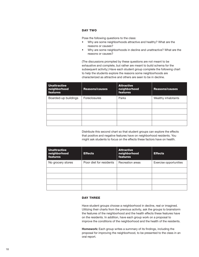## Day Two

Pose the following questions to the class:

- Why are some neighborhoods attractive and healthy? What are the reasons or causes?
- Why are some neighborhoods in decline and unattractive? What are the reasons or causes?

(The discussions prompted by these questions are not meant to be exhaustive and complete, but rather are meant to build schema for the subsequent activity.) Have each student group complete the following chart to help the students explore the reasons some neighborhoods are characterized as attractive and others are seen to be in decline.

| <b>Unattractive</b><br>neighborhood<br>features | <b>Reasons/causes</b> | <b>Attractive</b><br>neighborhood<br><b>features</b> | <b>Reasons/causes</b> |
|-------------------------------------------------|-----------------------|------------------------------------------------------|-----------------------|
| Boarded-up buildings                            | Foreclosures          | Parks                                                | Wealthy inhabitants   |
|                                                 |                       |                                                      |                       |
|                                                 |                       |                                                      |                       |
|                                                 |                       |                                                      |                       |
|                                                 |                       |                                                      |                       |

Distribute this second chart so that student groups can explore the effects that positive and negative features have on neighborhood residents. You might ask students to focus on the effects these factors have on health.

| <b>Unattractive</b><br>neighborhood<br>features | <b>Effects</b>          | <b>Attractive</b><br>neighborhood<br><b>features</b> | <b>Effects</b>         |
|-------------------------------------------------|-------------------------|------------------------------------------------------|------------------------|
| No grocery stores                               | Poor diet for residents | Recreation areas                                     | Exercise opportunities |
|                                                 |                         |                                                      |                        |
|                                                 |                         |                                                      |                        |
|                                                 |                         |                                                      |                        |
|                                                 |                         |                                                      |                        |

## DAY THREE

Have student groups choose a neighborhood in decline, real or imagined. Utilizing their charts from the previous activity, ask the groups to brainstorm the features of the neighborhood and the health effects these features have on the residents. In addition, have each group work on a proposal to improve the conditions of the neighborhood and the health of the residents.

**Homework:** Each group writes a summary of its findings, including the proposal for improving the neighborhood, to be presented to the class in an oral report.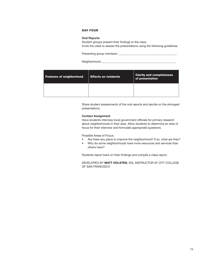## Day Four

#### **Oral Reports**

Student groups present their findings to the class. Invite the class to assess the presentations using the following guidelines:

Presenting group members \_\_\_\_\_\_\_\_\_\_\_\_\_\_\_\_\_\_\_\_\_\_\_\_\_\_\_\_\_\_\_\_\_\_\_\_\_\_\_\_

Neighborhood \_\_\_\_\_\_\_\_\_\_\_\_\_\_\_\_\_\_\_\_\_\_\_\_\_\_\_\_\_\_\_\_\_\_\_\_\_\_\_\_\_\_\_\_\_\_\_\_\_\_\_

| <b>Features of neighborhood</b> | <b>Effects on residents</b> | <b>Clarity and completeness</b><br>of presentation |
|---------------------------------|-----------------------------|----------------------------------------------------|
|                                 |                             |                                                    |

Share student assessments of the oral reports and decide on the strongest presentations.

#### **Contact Assignment**

Have students interview local government officials for primary research about neighborhoods in their area. Allow students to determine an area of focus for their interview and formulate appropriate questions.

#### Possible Areas of Focus:

- Are there any plans to improve the neighborhood? If so, what are they?
- Why do some neighborhoods have more resources and services than others have?

Students report back on their findings and compile a class report.

Developed by **Matt Holsten**, ESL Instructor at City College of San Francisco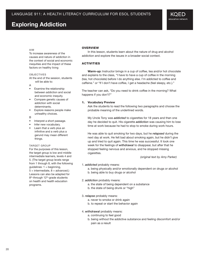## **Exploring Addiction**

#### Aim

To increase awareness of the causes and nature of addiction in the context of social and economic inequities and the impact of these factors on healthy living

#### **OBJECTIVES**

At the end of the session, students will be able to:

- A
- Examine the relationship between addiction and social and economic inequity.
- Compare genetic causes of addiction with social determinants.
- Explore reasons people make unhealthy choices.
- B
- Interpret a short passage.
- Infer new vocabulary.
- Learn that a verb plus an infinitive and a verb plus a gerund may mean different things.

#### TARGET GROUP

For the purposes of this lesson, the target group is low and middle intermediate learners, levels 4 and 5. (The target group levels range from 1 through 8, with the following  $guidelines: 1 = beginning,$  $5 =$  intermediate,  $8 =$  advanced.) Lessons can also be adapted for 8<sup>th</sup>-through 12<sup>th</sup>-grade students on health and health education programs.

#### **OVERVIEW**

In this lesson, students learn about the nature of drug and alcohol addiction and explore the issues in a broader social context.

## **ACTIVITIES**

**Warm-up:** Instructor brings in a cup of coffee, tea and/or hot chocolate and explains to the class, "I have to have a cup of coffee in the morning (tea, hot chocolate) before I do anything else. I'm addicted to coffee and caffeine." *or* "If I don't have coffee, I get a headache (feel sleepy, etc.)."

The teacher can ask, "Do you need to drink coffee in the morning? What happens if you don't?"

#### 1. **Vocabulary Preview**

Ask the students to read the following two paragraphs and choose the probable meaning of the underlined words.

My Uncle Tony was *addicted* to cigarettes for 18 years and then one day he decided to quit. His cigarette *addiction* was causing him to lose time at work because he had to stop to smoke during work hours.

He was able to quit smoking for two days, but he *relapsed* during the next day at work. He felt bad about smoking again, but he didn't give up and tried to quit again. This time he was successful. It took one week for the feelings of *withdrawal* to disappear, but after that he stopped feeling nervous and anxious, and he stopped missing cigarettes.

 *(original text by Amy Parker)*

#### 1. *addicted* probably means:

a. being physically and/or emotionally dependent on drugs or alcohol

b. being able to buy drugs or alcohol

#### 2. *addiction* probably means:

a. the state of being dependent on a substance

b. the state of being drunk or "high"

#### 3. *relapse* probably means:

- a. never to smoke or drink again
- b. to repeat or start the behavior again

#### 4. *withdrawal* probably means:

- a. continuing to feel good
- b. being without the addictive substance and feeling discomfort and/or pain as a result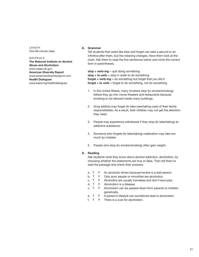LENGTH One 90-minute class

#### MATERIALS **The National Institute on Alcohol Abuse and Alcoholism** *www.niaaa.nih.gov* **American Diversity Report** *www.americandiversityreport.com* **Health Dialogues** *www.kqed.org/healthdialogues*

#### 2. **Grammar**

Tell students that verbs like *stop* and *forget* can take a gerund or an infinitive after them, but the meaning changes. Have them look at the chart. Ask them to read the five sentences below and circle the correct form in parentheses.

**stop + verb-ing** = quit doing something **stop + to verb** = stop in order to do something **forget + verb-ing** = do something but forget that you did it **forget + to verb** = forget to do something, not do something

- 1. In the United States, many smokers stop (to smoke/smoking) before they go into movie theaters and restaurants because smoking is not allowed inside many buildings.
- 2. Drug addicts may forget (to take care/taking care) of their family responsibilities. As a result, their children may not get the attention they need.
- 3. People may experience withdrawal if they stop (to take/taking) an addictive substance.
- 4. Someone who forgets (to take/taking) medication may take too much by mistake
- 5. People who stop (to smoke/smoking) often gain weight.

## 3. **Reading**

Ask students what they know about alcohol addiction, alcoholism, by choosing whether the statements are true or false. Then tell them to read the passage and check their answers.

- a. T F An alcoholic drinks because he/she is a bad person.
- b. T F Only poor people or minorities are alcoholics.
- c. T F Alcoholics are usually homeless and don't have jobs.
- d. T F Alcoholism is a disease.
- c. T F Alcoholism can be passed down from parents to children genetically.
- e. T F A person's lifestyle can sometimes lead to alcoholism.
- f. T F There is a cure for alcoholism.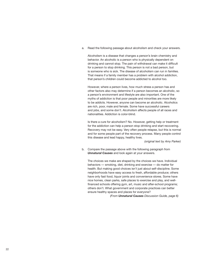a. Read the following passage about alcoholism and check your answers.

Alcoholism is a disease that changes a person's brain chemistry and behavior. An alcoholic is a person who is physically dependent on drinking and cannot stop. The pain of withdrawal can make it difficult for a person to stop drinking. This person is not a bad person, but is someone who is sick. The disease of alcoholism can run in families. That means if a family member has a problem with alcohol addiction, that person's children could become addicted to alcohol too.

However, where a person lives, how much stress a person has and other factors also may determine if a person becomes an alcoholic, so a person's environment and lifestyle are also important. One of the myths of addiction is that poor people and minorities are more likely to be addicts. However, anyone can become an alcoholic. Alcoholics are rich, poor, male and female. Some have successful careers and jobs, and some don't. Alcoholism affects people of all races and nationalities. Addiction is color-blind.

Is there a cure for alcoholism? No. However, getting help or treatment for the addiction can help a person stop drinking and start recovering. Recovery may not be easy. Very often people relapse, but this is normal and for some people part of the recovery process. Many people control this disease and lead happy, healthy lives.

 *(original text by Amy Parker)*

b. Compare the passage above with the following paragraph from *Unnatural Causes* and look again at your answers.

The choices we make are shaped by the choices we have. Individual behaviors — smoking, diet, drinking and exercise — do matter for health. But making good choices isn't just about self-discipline. Some neighborhoods have easy access to fresh, affordable produce; others have only fast food, liquor joints and convenience stores. Some have nice homes, clean parks, safe places to exercise and play, and wellfinanced schools offering gym, art, music and after-school programs; others don't. What government and corporate practices can better ensure healthy spaces and places for everyone?

 *(From Unnatural Causes Discussion Guide, page 6)*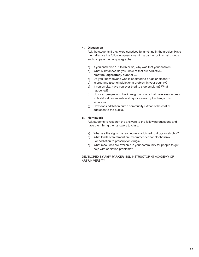## 4. **Discussion**

Ask the students if they were surprised by anything in the articles. Have them discuss the following questions with a partner or in small groups and compare the two paragraphs.

- a) If you answered "T" to 3b or 3c, why was that your answer?
- b) What substances do you know of that are addictive? **nicotine (cigarettes), alcohol …**
- c) Do you know anyone who is addicted to drugs or alcohol?
- d) Is drug and alcohol addiction a problem in your country?
- e) If you smoke, have you ever tried to stop smoking? What happened?
- f) How can people who live in neighborhoods that have easy access to fast-food restaurants and liquor stores try to change this situation?
- g) How does addiction hurt a community? What is the cost of addiction to the public?

## 5. **Homework**

Ask students to research the answers to the following questions and have them bring their answers to class.

- a) What are the signs that someone is addicted to drugs or alcohol?
- b) What kinds of treatment are recommended for alcoholism? For addiction to prescription drugs?
- c) What resources are available in your community for people to get help with addiction problems?

Developed by **Amy Parker**, ESL Instructor at Academy of **ART UNIVERSITY**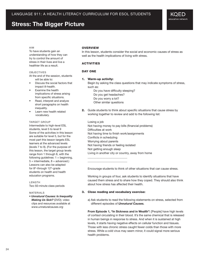## **Stress: The Bigger Picture**

## Aim

To have students gain an understanding of how they can try to control the amount of stress in their lives and live a healthier life as a result.

#### **OBJECTIVES**

At the end of the session, students will be able to:

- Discuss the social factors that impact ill-health.
- Examine the health implications of stress arising from specific situations.
- Read, interpret and analyze short paragraphs on health inequality.
- Learn new health related vocabulary.

#### TARGET GROUP

Intermediate to high-level ESL students, level 5 to level 9 Some of the activities in this lesson are suitable for level 5, but for the most part this lesson targets ESL learners at the advanced levels (levels 7 to 9). (For the purpose of this lesson, the target group levels range from 1 through 8, with the following guidelines:  $1 =$  beginning,  $5 =$  intermediate,  $8 =$  advanced.) Lessons can also be adapted for  $8<sup>th</sup>$ -through 12<sup>th</sup>-grade students on health and health education programs.

#### LENGTH Two 50-minute class periods

MATFRIAL<sub>S</sub>

• *Unnatural Causes: Is Inequality Making Us Sick?* (DVD); video clips and resources available at  *www.unnaturalcauses.org*

## **OVERVIEW**

In this lesson, students consider the social and economic causes of stress as well as the health implications of living with stress.

#### **ACTIVITIES**

#### DAY ONE

#### 1. Warm-up activity:

Begin by asking the class questions that may indicate symptoms of stress, such as:

 Do you have difficulty sleeping? Do you get headaches? Do you worry a lot? Other similar questions

2. Guide students to think about specific situations that cause stress by working together to review and add to the following list:

Losing a job Not having money to pay bills (financial problems) Difficulties at work Not having time to finish work/assignments Conflicts in scheduling Worrying about parents Not having friends or feeling isolated Not getting enough sleep Living in another city or country, away from home

Encourage students to think of other situations that can cause stress.

Working in groups of four, ask students to identify situations that have caused them stress and to share how they coped. They should also think about how stress has affected their health.

#### 3. Close reading and vocabulary exercise:

\_\_\_\_\_\_\_\_\_\_\_\_\_\_\_\_\_\_\_\_\_\_\_\_\_\_\_ \_\_\_\_\_\_\_\_\_\_\_\_\_\_\_\_\_\_\_\_\_\_\_\_\_\_\_

a) Ask students to read the following statements on stress, selected from different episodes of *Unnatural Causes.*

**From Episode 1, "In Sickness and in Wealth":** [People] have high levels of cortisol circulating in their blood. It's the same chemical that is released in human beings in response to stress. And when it is sustained at high levels, it starts having negative effects on cellular function and tissues. Those with less chronic stress caught fewer colds than those with more stress. While a cold virus may seem minor, it could signal more serious health problems.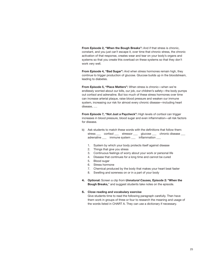**From Episode 2, "When the Bough Breaks":** And if that stress is chronic, constant, and you just can't escape it, over time that chronic stress, the chronic activation of that response, creates wear and tear on your body's organs and systems so that you create this overload on these systems so that they don't work very well.

**From Episode 4, "Bad Sugar":** And when stress hormones remain high, they continue to trigger production of glucose. Glucose builds up in the bloodstream, leading to diabetes.

**From Episode 5, "Place Matters":** When stress is chronic—when we're endlessly worried about our bills, our job, our children's safety—the body pumps out cortisol and adrenaline. But too much of these stress hormones over time can increase arterial plaque, raise blood pressure and weaken our immune system, increasing our risk for almost every chronic disease—including heart disease, ….

**From Episode 7, "Not Just a Paycheck":** High levels of cortisol can trigger increases in blood pressure, blood sugar and even inflammation—all risk factors for disease.

- b) Ask students to match these words with the definitions that follow them: stress \_\_\_ cortisol \_\_\_ stressor \_\_\_ glucose \_\_\_ chronic disease \_\_ adrenaline \_\_\_ immune system \_\_\_ inflammation \_\_\_
	- 1. System by which your body protects itself against disease
	- 2. Things that give you stress
	- 3. Continuous feelings of worry about your work or personal life
	- 4. Disease that continues for a long time and cannot be cured
	- 5. Blood sugar
	- 6. Stress hormone
	- 7. Chemical produced by the body that makes your heart beat faster
	- 8. Swelling and soreness on or in a part of your body
- 4. **Optional:** Screen a clip from *Unnatural Causes,* **Episode 2: "When the Bough Breaks,**" and suggest students take notes on the episode.

#### 5. **Close reading and vocabulary exercise**

Give students time to read the following paragraph carefully. Then have them work in groups of three or four to research the meaning and usage of the words listed in CHART A. They can use a dictionary if necessary.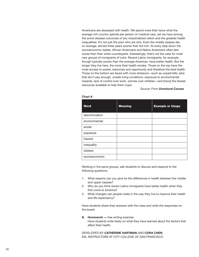Americans are obsessed with health. We spend more than twice what the average rich country spends per person on medical care, yet we have among the worst disease outcomes of any industrialized nation and the greatest health inequalities. It's not just the poor who are sick. Even the middle classes die, on average, almost three years sooner than the rich. At every step down the socioeconomic ladder, African Americans and Native Americans often fare worse than their white counterparts. Interestingly, that's not the case for most new groups of immigrants of color. Recent Latino immigrants, for example, though typically poorer than the average American, have better health. But the longer they live here, the more their health erodes. Those on the top have the most access to power, resources and opportunity and therefore the best health. Those on the bottom are faced with more stressors—such as unpaid bills, jobs that don't pay enough, unsafe living conditions, exposure to environmental hazards, lack of control over work, worries over children—and [have] the fewest resources available to help them cope.

#### *Source: From Unnatural Causes*

| <b>Word</b>    | <b>Meaning</b> | <b>Example or Usage</b> |
|----------------|----------------|-------------------------|
| discrimination |                |                         |
| environmental  |                |                         |
| erode          |                |                         |
| exposure       |                |                         |
| hazard         |                |                         |
| inequality     |                |                         |
| obsess         |                |                         |
| socioeconomic  |                |                         |

#### **Chart A**

Working in the same groups, ask students to discuss and respond to the following questions:

- 1. What reasons can you give for the differences in health between the middle and upper classes?
- 2. Why do you think recent Latino immigrants have better health when they first come to America?
- 3. What changes can people make in the way they live to improve their health and life expectancy?

Have students share their answers with the class and write the responses on the board.

#### 6. **Homework —** free writing exercise

Have students write freely on what they have learned about the factors that affect their health.

Developed by **Catherine Hartman** and **Cora Chen**, ESL Instructors at City College of San Francisco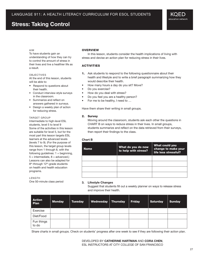## **Stress: Taking Control**

#### Aim

To have students gain an understanding of how they can try to control the amount of stress in their lives and live a healthier life as a result.

#### **OBJECTIVES**

At the end of this lesson, students will be able to:

- Respond to questions about their health.
- Conduct interview-style surveys in the classroom.
- Summarize and reflect on answers gathered in surveys.
- Design a weekly plan of action for reducing stress.

#### TARGET GROUP

Intermediate to high-level ESL students, level 5 to level 9 Some of the activities in this lesson are suitable for level 5, but for the most part this lesson targets ESL learners at the advanced levels (levels 7 to 9). (For the purpose of this lesson, the target group levels range from 1 through 8, with the following guidelines:  $1 =$  beginning,  $5 =$  intermediate,  $8 =$  advanced.) Lessons can also be adapted for 8<sup>th</sup>-through 12<sup>th</sup>-grade students on health and health education programs.

#### **LENGTH**

One 50-minute class period

#### **OVERVIEW**

In this lesson, students consider the health implications of living with stress and devise an action plan for reducing stress in their lives.

### **ACTIVITIES**

- 1. Ask students to respond to the following questionnaire about their health and lifestyle and to write a brief paragraph summarizing how they would describe their health.
- How many hours a day do you sit? Move?
- Do you exercise?
- How do you deal with stress?
- Do you feel you are a healthy person?
- For me to be healthy, I need to ...

Have them share their writing in small groups.

#### 2. Survey

Moving around the classroom, students ask each other the questions in CHART B on ways to reduce stress in their lives. In small groups, students summarize and reflect on the data retrieved from their surveys, then report their findings to the class.

#### **Chart B**

| <b>Name</b> | What do you do now<br>to help with stress? | What could you<br>change to make your<br>life less stressful? |
|-------------|--------------------------------------------|---------------------------------------------------------------|
|             |                                            |                                                               |
|             |                                            |                                                               |
|             |                                            |                                                               |
|             |                                            |                                                               |

#### **3. Lifestyle Changes**

Suggest that students fill out a weekly planner on ways to release stress and improve their health.

| <b>Action</b><br>Plan | <b>Monday</b> | <b>Tuesday</b> | Wednesday   Thursday | <b>Friday</b> | <b>Saturday</b> | <b>Sunday</b> |
|-----------------------|---------------|----------------|----------------------|---------------|-----------------|---------------|
| Exercise              |               |                |                      |               |                 |               |
| Diet/Food             |               |                |                      |               |                 |               |
| Fun things<br>to do   |               |                |                      |               |                 |               |

Share charts in small groups. Check on students' progress after one week to see if they are following their action plan.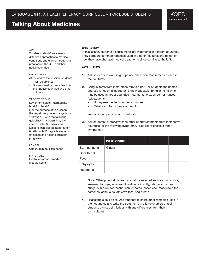## **Talking About Medicines**

#### Aim

To raise students' awareness of different approaches to medical conditions and different treatment practices in the U.S. and their native countries.

#### **OBJECTIVES**

At the end of the session, students will be able to:

• Discuss medical remedies from their native countries and other cultures

#### TARGET GROUP

Low Intermediate-Intermediate level 4 to level 6 (For the purpose of this lesson, the target group levels range from 1 through 8, with the following quidelines:  $1 =$  beginning,  $5 =$  $intermediate, 8 = advantage.$ Lessons can also be adapted for 8th-through 12th-grade students on health and health education programs.

LENGTH One 90-minute class period

MATERIALS Realia: common remedies, first aid items

## **OVERVIEW**

In this lesson, students discuss medicinal treatments in different countries. They compare common remedies used in different cultures and reflect on how they have changed medical treatments since coming to the U.S.

## **ACTIVITIES**

- 1. Ask students to work in groups and share common remedies used in their cultures.
- 2. Bring in items from instructor's "first aid kit." Tell students the names and use for each. If instructor is knowledgeable, bring in items which may be used in target countries' treatments, e.g., ginger for nausea. Ask students:
	- If they use the items in their countries.
	- What symptoms they are used for.

Welcome comparisons and contrasts.

**3.** Ask students to interview each other about treatments from their native countries for the following symptoms. (See list of possible other symptoms.)

|             | Ha (Vietnam) |  |  |
|-------------|--------------|--|--|
| Stomachache | Ginger       |  |  |
| Sore throat |              |  |  |
| Fever       |              |  |  |
| Itchy eyes  |              |  |  |
| Headache    |              |  |  |

**Note:** Other physical problems could be selected such as runny nose, sneezes, hiccups, soreness, breathing difficulty, fatigue, cuts, bee stings, sun burn, toothache, canker sores, nosebleed, mosquito bites, earaches, acne, cuts, athlete's foot, bad breath.

4. Reassemble as a class. Ask students to share other remedies used in their countries and write the treatments in a large chart so that all students can see similarities with and differences from their own cultures.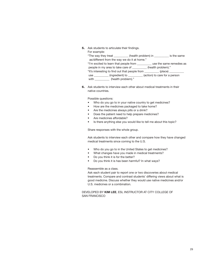**5.** Ask students to articulate their findings. For example:

| <b>I</b> UI CAGIIINIC. |                                                                |                                               |                                                                              |
|------------------------|----------------------------------------------------------------|-----------------------------------------------|------------------------------------------------------------------------------|
|                        |                                                                |                                               | "The way they treat ___________(health problem) in ___________ is the same   |
|                        | as/different from the way we do it at home."                   |                                               |                                                                              |
|                        |                                                                |                                               | "I'm excited to learn that people from ____________ use the same remedies as |
|                        | people in my area to take care of __________(health problem)." |                                               |                                                                              |
|                        |                                                                |                                               | "It's interesting to find out that people from __________ (place) _________  |
|                        | use                                                            | (ingredient) to (action) to care for a person |                                                                              |
|                        | with ____________ (health problem)."                           |                                               |                                                                              |

6. Ask students to interview each other about medical treatments in their native countries.

Possible questions:

- Who do you go to in your native country to get medicines?
- How are the medicines packaged to take home?
- Are the medicines always pills or a drink?
- Does the patient need to help prepare medicines?
- Are medicines affordable?
- Is there anything else you would like to tell me about this topic?

Share responses with the whole group.

Ask students to interview each other and compare how they have changed medical treatments since coming to the U.S.

- Who do you go to in the United States to get medicines?
- What changes have you made in medical treatments?
- Do you think it is for the better?
- Do you think it is has been harmful? In what ways?

#### Reassemble as a class.

Ask each student pair to report one or two discoveries about medical treatments. Compare and contrast students' differing views about what is good medicine. Discuss whether they would use native medicines and/or U.S. medicines or a combination.

#### Developed by **Kim Lee**, ESL Instructor at City College of San Francisco